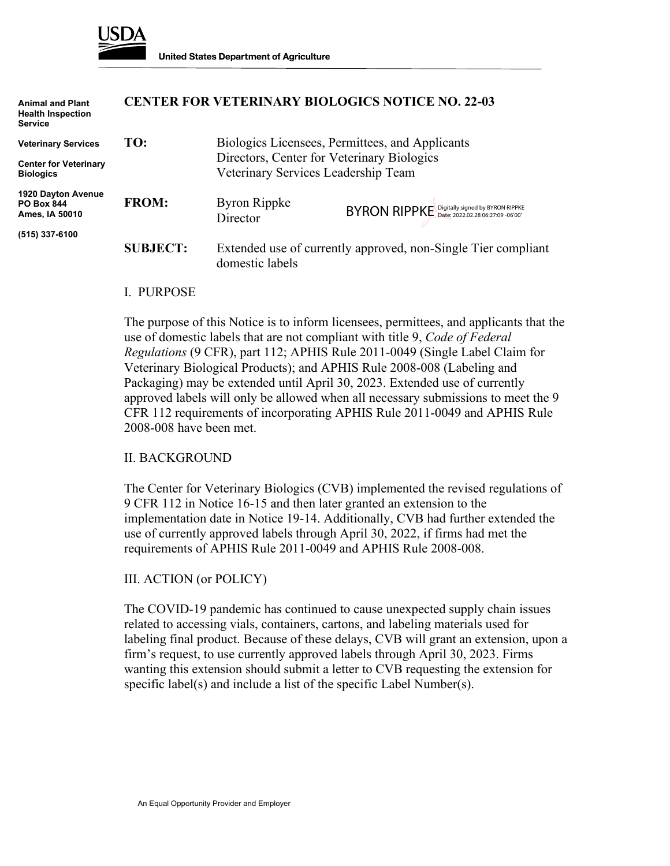

| <b>Animal and Plant</b><br><b>Health Inspection</b><br><b>Service</b> |                 |                                                                                                                                      | <b>CENTER FOR VETERINARY BIOLOGICS NOTICE NO. 22-03</b> |
|-----------------------------------------------------------------------|-----------------|--------------------------------------------------------------------------------------------------------------------------------------|---------------------------------------------------------|
| <b>Veterinary Services</b>                                            | TO:             | Biologics Licensees, Permittees, and Applicants<br>Directors, Center for Veterinary Biologics<br>Veterinary Services Leadership Team |                                                         |
| <b>Center for Veterinary</b><br><b>Biologics</b>                      |                 |                                                                                                                                      |                                                         |
| <b>1920 Dayton Avenue</b><br><b>PO Box 844</b><br>Ames, IA 50010      | <b>FROM:</b>    | <b>Byron Rippke</b><br>Director                                                                                                      | BYRON RIPPKE Digitally signed by BYRON RIPPKE           |
| (515) 337-6100                                                        | <b>SUBJECT:</b> | Extended use of currently approved, non-Single Tier compliant<br>domestic labels                                                     |                                                         |

## I. PURPOSE

The purpose of this Notice is to inform licensees, permittees, and applicants that the use of domestic labels that are not compliant with title 9, *Code of Federal Regulations* (9 CFR), part 112; APHIS Rule 2011-0049 (Single Label Claim for Veterinary Biological Products); and APHIS Rule 2008-008 (Labeling and Packaging) may be extended until April 30, 2023. Extended use of currently approved labels will only be allowed when all necessary submissions to meet the 9 CFR 112 requirements of incorporating APHIS Rule 2011-0049 and APHIS Rule 2008-008 have been met.

## II. BACKGROUND

The Center for Veterinary Biologics (CVB) implemented the revised regulations of 9 CFR 112 in Notice 16-15 and then later granted an extension to the implementation date in Notice 19-14. Additionally, CVB had further extended the use of currently approved labels through April 30, 2022, if firms had met the requirements of APHIS Rule 2011-0049 and APHIS Rule 2008-008.

## III. ACTION (or POLICY)

The COVID-19 pandemic has continued to cause unexpected supply chain issues related to accessing vials, containers, cartons, and labeling materials used for labeling final product. Because of these delays, CVB will grant an extension, upon a firm's request, to use currently approved labels through April 30, 2023. Firms wanting this extension should submit a letter to CVB requesting the extension for specific label(s) and include a list of the specific Label Number(s).